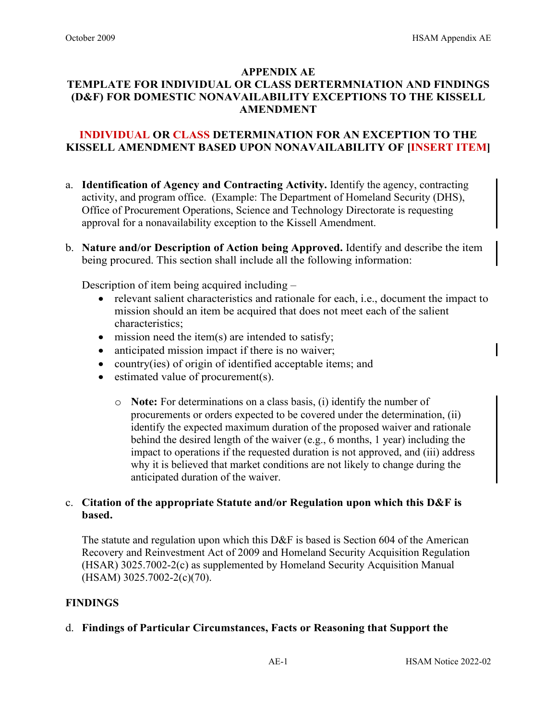# **APPENDIX AE TEMPLATE FOR INDIVIDUAL OR CLASS DERTERMNIATION AND FINDINGS (D&F) FOR DOMESTIC NONAVAILABILITY EXCEPTIONS TO THE KISSELL AMENDMENT**

## **INDIVIDUAL OR CLASS DETERMINATION FOR AN EXCEPTION TO THE KISSELL AMENDMENT BASED UPON NONAVAILABILITY OF [INSERT ITEM]**

- a. **Identification of Agency and Contracting Activity.** Identify the agency, contracting activity, and program office. (Example: The Department of Homeland Security (DHS), Office of Procurement Operations, Science and Technology Directorate is requesting approval for a nonavailability exception to the Kissell Amendment.
- b. **Nature and/or Description of Action being Approved.** Identify and describe the item being procured. This section shall include all the following information:

Description of item being acquired including –

- relevant salient characteristics and rationale for each, i.e., document the impact to mission should an item be acquired that does not meet each of the salient characteristics;
- mission need the item(s) are intended to satisfy;
- anticipated mission impact if there is no waiver;
- country(ies) of origin of identified acceptable items; and
- estimated value of procurement(s).
	- o **Note:** For determinations on a class basis, (i) identify the number of procurements or orders expected to be covered under the determination, (ii) identify the expected maximum duration of the proposed waiver and rationale behind the desired length of the waiver (e.g., 6 months, 1 year) including the impact to operations if the requested duration is not approved, and (iii) address why it is believed that market conditions are not likely to change during the anticipated duration of the waiver.

### c. **Citation of the appropriate Statute and/or Regulation upon which this D&F is based.**

The statute and regulation upon which this D&F is based is Section 604 of the American Recovery and Reinvestment Act of 2009 and Homeland Security Acquisition Regulation (HSAR) 3025.7002-2(c) as supplemented by Homeland Security Acquisition Manual (HSAM) 3025.7002-2(c)(70).

### **FINDINGS**

d. **Findings of Particular Circumstances, Facts or Reasoning that Support the**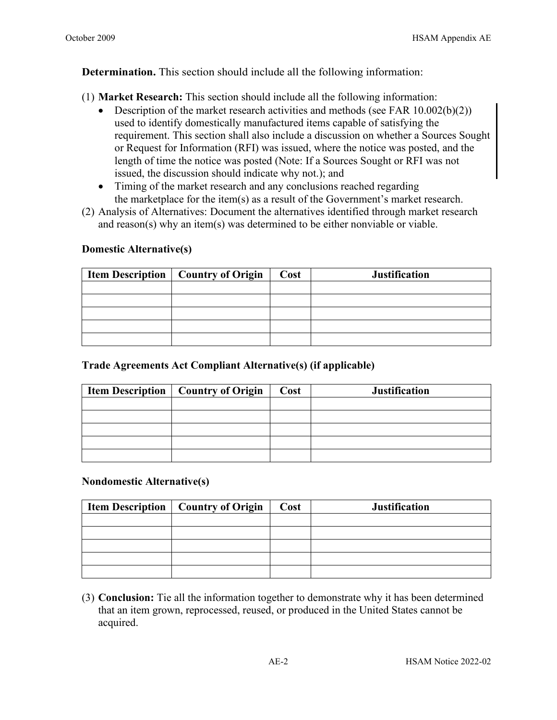# **Determination.** This section should include all the following information:

(1) **Market Research:** This section should include all the following information:

- Description of the market research activities and methods (see FAR  $10.002(b)(2)$ ) used to identify domestically manufactured items capable of satisfying the requirement. This section shall also include a discussion on whether a Sources Sought or Request for Information (RFI) was issued, where the notice was posted, and the length of time the notice was posted (Note: If a Sources Sought or RFI was not issued, the discussion should indicate why not.); and
- Timing of the market research and any conclusions reached regarding the marketplace for the item(s) as a result of the Government's market research.
- (2) Analysis of Alternatives: Document the alternatives identified through market research and reason(s) why an item(s) was determined to be either nonviable or viable.

# **Domestic Alternative(s)**

| <b>Item Description   Country of Origin  </b> | Cost | <b>Justification</b> |
|-----------------------------------------------|------|----------------------|
|                                               |      |                      |
|                                               |      |                      |
|                                               |      |                      |
|                                               |      |                      |
|                                               |      |                      |

# **Trade Agreements Act Compliant Alternative(s) (if applicable)**

| <b>Item Description   Country of Origin  </b> | Cost | <b>Justification</b> |  |  |  |
|-----------------------------------------------|------|----------------------|--|--|--|
|                                               |      |                      |  |  |  |
|                                               |      |                      |  |  |  |
|                                               |      |                      |  |  |  |
|                                               |      |                      |  |  |  |
|                                               |      |                      |  |  |  |

### **Nondomestic Alternative(s)**

| <b>Item Description   Country of Origin  </b> | Cost | <b>Justification</b> |
|-----------------------------------------------|------|----------------------|
|                                               |      |                      |
|                                               |      |                      |
|                                               |      |                      |
|                                               |      |                      |
|                                               |      |                      |

(3) **Conclusion:** Tie all the information together to demonstrate why it has been determined that an item grown, reprocessed, reused, or produced in the United States cannot be acquired.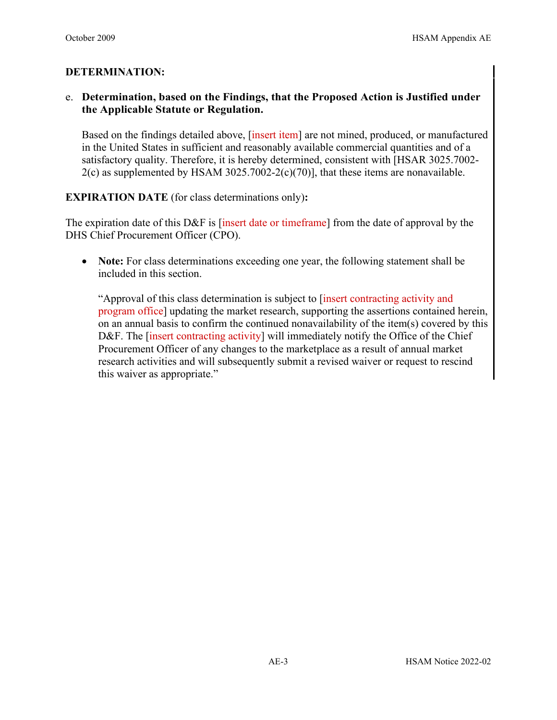# **DETERMINATION:**

# e. **Determination, based on the Findings, that the Proposed Action is Justified under the Applicable Statute or Regulation.**

Based on the findings detailed above, [insert item] are not mined, produced, or manufactured in the United States in sufficient and reasonably available commercial quantities and of a satisfactory quality. Therefore, it is hereby determined, consistent with [HSAR 3025.7002-  $2(c)$  as supplemented by HSAM 3025.7002-2 $(c)(70)$ ], that these items are nonavailable.

**EXPIRATION DATE** (for class determinations only)**:** 

The expiration date of this D&F is [insert date or timeframe] from the date of approval by the DHS Chief Procurement Officer (CPO).

• **Note:** For class determinations exceeding one year, the following statement shall be included in this section.

"Approval of this class determination is subject to [insert contracting activity and program office] updating the market research, supporting the assertions contained herein, on an annual basis to confirm the continued nonavailability of the item(s) covered by this D&F. The *[insert contracting activity]* will immediately notify the Office of the Chief Procurement Officer of any changes to the marketplace as a result of annual market research activities and will subsequently submit a revised waiver or request to rescind this waiver as appropriate."